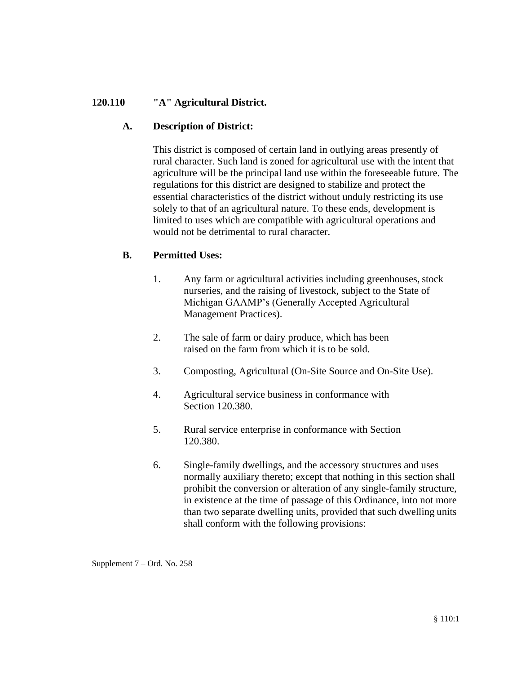# **120.110 "A" Agricultural District.**

## **A. Description of District:**

This district is composed of certain land in outlying areas presently of rural character. Such land is zoned for agricultural use with the intent that agriculture will be the principal land use within the foreseeable future. The regulations for this district are designed to stabilize and protect the essential characteristics of the district without unduly restricting its use solely to that of an agricultural nature. To these ends, development is limited to uses which are compatible with agricultural operations and would not be detrimental to rural character.

# **B. Permitted Uses:**

- 1. Any farm or agricultural activities including greenhouses, stock nurseries, and the raising of livestock, subject to the State of Michigan GAAMP's (Generally Accepted Agricultural Management Practices).
- 2. The sale of farm or dairy produce, which has been raised on the farm from which it is to be sold.
- 3. Composting, Agricultural (On-Site Source and On-Site Use).
- 4. Agricultural service business in conformance with Section 120.380.
- 5. Rural service enterprise in conformance with Section 120.380.
- 6. Single-family dwellings, and the accessory structures and uses normally auxiliary thereto; except that nothing in this section shall prohibit the conversion or alteration of any single-family structure, in existence at the time of passage of this Ordinance, into not more than two separate dwelling units, provided that such dwelling units shall conform with the following provisions:

Supplement 7 – Ord. No. 258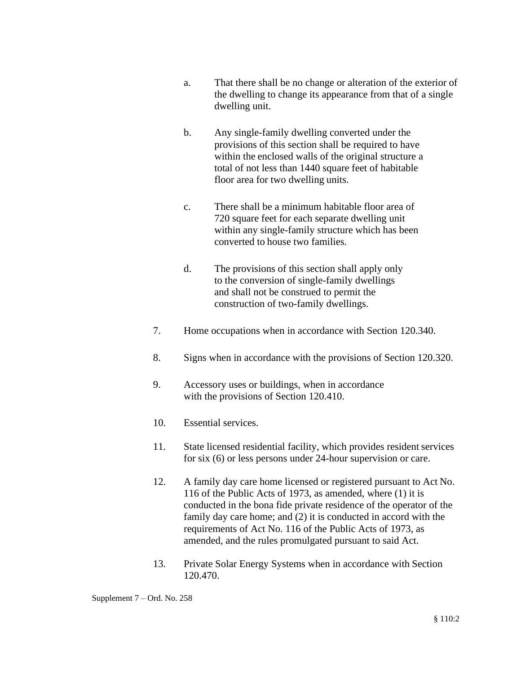- a. That there shall be no change or alteration of the exterior of the dwelling to change its appearance from that of a single dwelling unit.
- b. Any single-family dwelling converted under the provisions of this section shall be required to have within the enclosed walls of the original structure a total of not less than 1440 square feet of habitable floor area for two dwelling units.
- c. There shall be a minimum habitable floor area of 720 square feet for each separate dwelling unit within any single-family structure which has been converted to house two families.
- d. The provisions of this section shall apply only to the conversion of single-family dwellings and shall not be construed to permit the construction of two-family dwellings.
- 7. Home occupations when in accordance with Section 120.340.
- 8. Signs when in accordance with the provisions of Section 120.320.
- 9. Accessory uses or buildings, when in accordance with the provisions of Section 120.410.
- 10. Essential services.
- 11. State licensed residential facility, which provides resident services for six (6) or less persons under 24-hour supervision or care.
- 12. A family day care home licensed or registered pursuant to Act No. 116 of the Public Acts of 1973, as amended, where (1) it is conducted in the bona fide private residence of the operator of the family day care home; and (2) it is conducted in accord with the requirements of Act No. 116 of the Public Acts of 1973, as amended, and the rules promulgated pursuant to said Act.
- 13. Private Solar Energy Systems when in accordance with Section 120.470.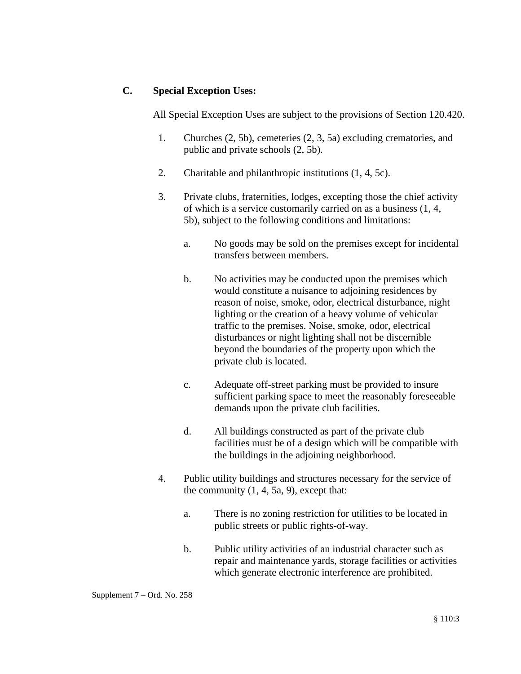### **C. Special Exception Uses:**

All Special Exception Uses are subject to the provisions of Section 120.420.

- 1. Churches (2, 5b), cemeteries (2, 3, 5a) excluding crematories, and public and private schools (2, 5b).
- 2. Charitable and philanthropic institutions (1, 4, 5c).
- 3. Private clubs, fraternities, lodges, excepting those the chief activity of which is a service customarily carried on as a business (1, 4, 5b), subject to the following conditions and limitations:
	- a. No goods may be sold on the premises except for incidental transfers between members.
	- b. No activities may be conducted upon the premises which would constitute a nuisance to adjoining residences by reason of noise, smoke, odor, electrical disturbance, night lighting or the creation of a heavy volume of vehicular traffic to the premises. Noise, smoke, odor, electrical disturbances or night lighting shall not be discernible beyond the boundaries of the property upon which the private club is located.
	- c. Adequate off-street parking must be provided to insure sufficient parking space to meet the reasonably foreseeable demands upon the private club facilities.
	- d. All buildings constructed as part of the private club facilities must be of a design which will be compatible with the buildings in the adjoining neighborhood.
- 4. Public utility buildings and structures necessary for the service of the community  $(1, 4, 5a, 9)$ , except that:
	- a. There is no zoning restriction for utilities to be located in public streets or public rights-of-way.
	- b. Public utility activities of an industrial character such as repair and maintenance yards, storage facilities or activities which generate electronic interference are prohibited.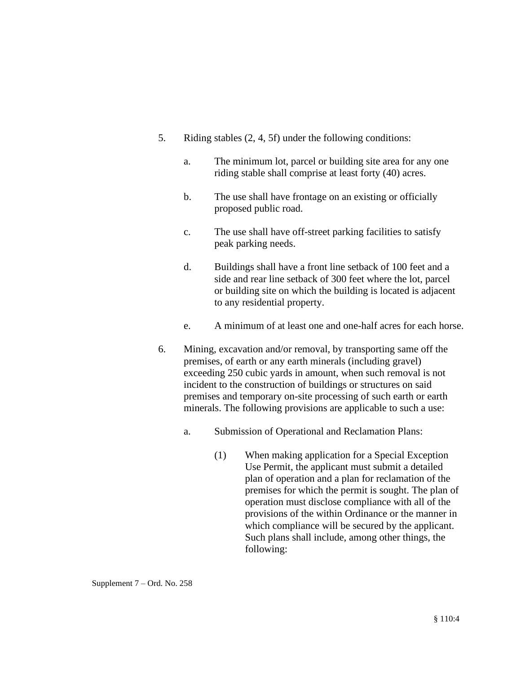- 5. Riding stables (2, 4, 5f) under the following conditions:
	- a. The minimum lot, parcel or building site area for any one riding stable shall comprise at least forty (40) acres.
	- b. The use shall have frontage on an existing or officially proposed public road.
	- c. The use shall have off-street parking facilities to satisfy peak parking needs.
	- d. Buildings shall have a front line setback of 100 feet and a side and rear line setback of 300 feet where the lot, parcel or building site on which the building is located is adjacent to any residential property.
	- e. A minimum of at least one and one-half acres for each horse.
- 6. Mining, excavation and/or removal, by transporting same off the premises, of earth or any earth minerals (including gravel) exceeding 250 cubic yards in amount, when such removal is not incident to the construction of buildings or structures on said premises and temporary on-site processing of such earth or earth minerals. The following provisions are applicable to such a use:
	- a. Submission of Operational and Reclamation Plans:
		- (1) When making application for a Special Exception Use Permit, the applicant must submit a detailed plan of operation and a plan for reclamation of the premises for which the permit is sought. The plan of operation must disclose compliance with all of the provisions of the within Ordinance or the manner in which compliance will be secured by the applicant. Such plans shall include, among other things, the following:

Supplement 7 – Ord. No. 258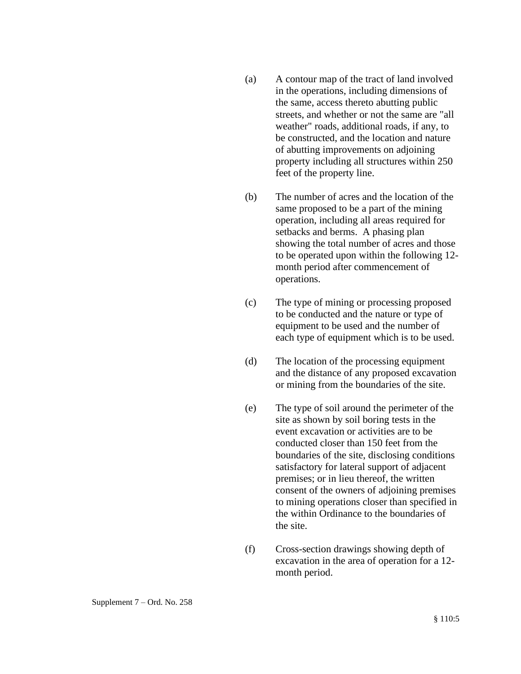- (a) A contour map of the tract of land involved in the operations, including dimensions of the same, access thereto abutting public streets, and whether or not the same are "all weather" roads, additional roads, if any, to be constructed, and the location and nature of abutting improvements on adjoining property including all structures within 250 feet of the property line.
- (b) The number of acres and the location of the same proposed to be a part of the mining operation, including all areas required for setbacks and berms. A phasing plan showing the total number of acres and those to be operated upon within the following 12 month period after commencement of operations.
- (c) The type of mining or processing proposed to be conducted and the nature or type of equipment to be used and the number of each type of equipment which is to be used.
- (d) The location of the processing equipment and the distance of any proposed excavation or mining from the boundaries of the site.
- (e) The type of soil around the perimeter of the site as shown by soil boring tests in the event excavation or activities are to be conducted closer than 150 feet from the boundaries of the site, disclosing conditions satisfactory for lateral support of adjacent premises; or in lieu thereof, the written consent of the owners of adjoining premises to mining operations closer than specified in the within Ordinance to the boundaries of the site.
- (f) Cross-section drawings showing depth of excavation in the area of operation for a 12 month period.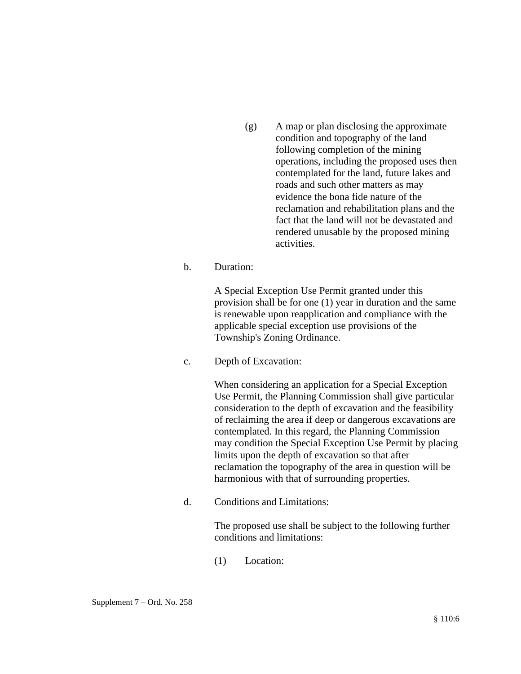(g) A map or plan disclosing the approximate condition and topography of the land following completion of the mining operations, including the proposed uses then contemplated for the land, future lakes and roads and such other matters as may evidence the bona fide nature of the reclamation and rehabilitation plans and the fact that the land will not be devastated and rendered unusable by the proposed mining activities.

#### b. Duration:

A Special Exception Use Permit granted under this provision shall be for one (1) year in duration and the same is renewable upon reapplication and compliance with the applicable special exception use provisions of the Township's Zoning Ordinance.

c. Depth of Excavation:

When considering an application for a Special Exception Use Permit, the Planning Commission shall give particular consideration to the depth of excavation and the feasibility of reclaiming the area if deep or dangerous excavations are contemplated. In this regard, the Planning Commission may condition the Special Exception Use Permit by placing limits upon the depth of excavation so that after reclamation the topography of the area in question will be harmonious with that of surrounding properties.

d. Conditions and Limitations:

The proposed use shall be subject to the following further conditions and limitations:

(1) Location: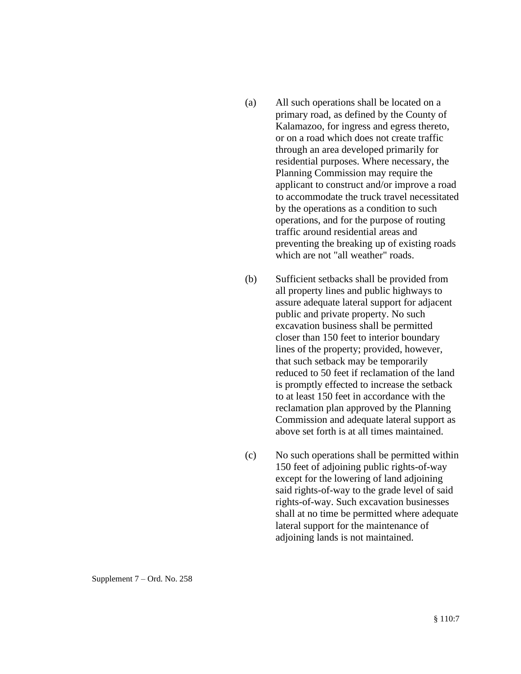- (a) All such operations shall be located on a primary road, as defined by the County of Kalamazoo, for ingress and egress thereto, or on a road which does not create traffic through an area developed primarily for residential purposes. Where necessary, the Planning Commission may require the applicant to construct and/or improve a road to accommodate the truck travel necessitated by the operations as a condition to such operations, and for the purpose of routing traffic around residential areas and preventing the breaking up of existing roads which are not "all weather" roads.
- (b) Sufficient setbacks shall be provided from all property lines and public highways to assure adequate lateral support for adjacent public and private property. No such excavation business shall be permitted closer than 150 feet to interior boundary lines of the property; provided, however, that such setback may be temporarily reduced to 50 feet if reclamation of the land is promptly effected to increase the setback to at least 150 feet in accordance with the reclamation plan approved by the Planning Commission and adequate lateral support as above set forth is at all times maintained.
- (c) No such operations shall be permitted within 150 feet of adjoining public rights-of-way except for the lowering of land adjoining said rights-of-way to the grade level of said rights-of-way. Such excavation businesses shall at no time be permitted where adequate lateral support for the maintenance of adjoining lands is not maintained.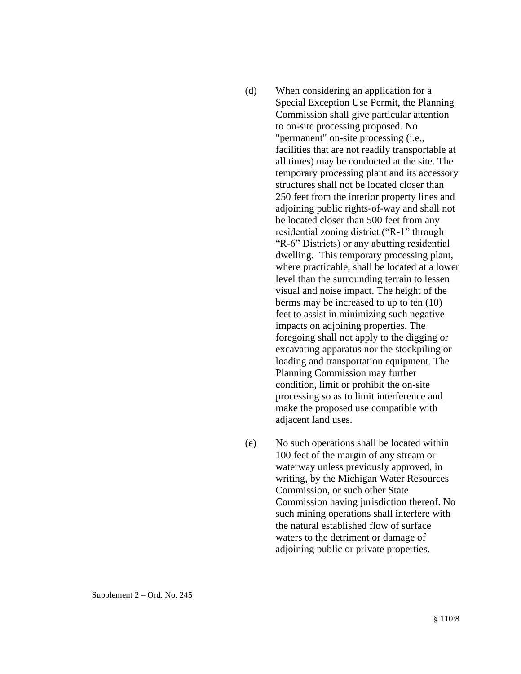- (d) When considering an application for a Special Exception Use Permit, the Planning Commission shall give particular attention to on-site processing proposed. No "permanent" on-site processing (i.e., facilities that are not readily transportable at all times) may be conducted at the site. The temporary processing plant and its accessory structures shall not be located closer than 250 feet from the interior property lines and adjoining public rights-of-way and shall not be located closer than 500 feet from any residential zoning district ("R-1" through "R-6" Districts) or any abutting residential dwelling. This temporary processing plant, where practicable, shall be located at a lower level than the surrounding terrain to lessen visual and noise impact. The height of the berms may be increased to up to ten (10) feet to assist in minimizing such negative impacts on adjoining properties. The foregoing shall not apply to the digging or excavating apparatus nor the stockpiling or loading and transportation equipment. The Planning Commission may further condition, limit or prohibit the on-site processing so as to limit interference and make the proposed use compatible with adjacent land uses.
- (e) No such operations shall be located within 100 feet of the margin of any stream or waterway unless previously approved, in writing, by the Michigan Water Resources Commission, or such other State Commission having jurisdiction thereof. No such mining operations shall interfere with the natural established flow of surface waters to the detriment or damage of adjoining public or private properties.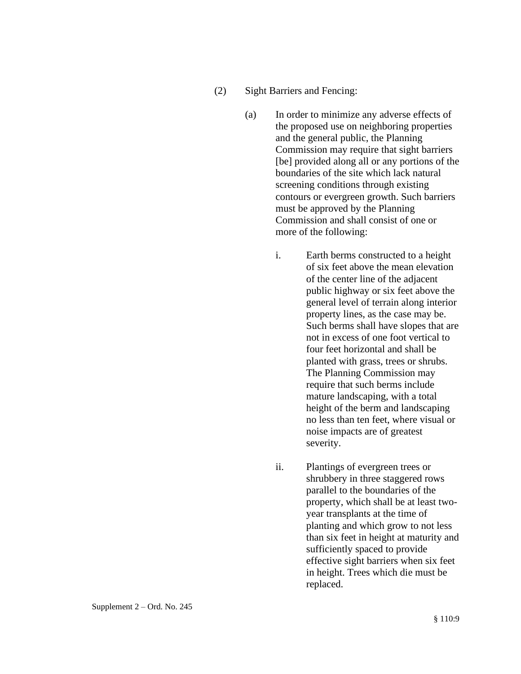- (2) Sight Barriers and Fencing:
	- (a) In order to minimize any adverse effects of the proposed use on neighboring properties and the general public, the Planning Commission may require that sight barriers [be] provided along all or any portions of the boundaries of the site which lack natural screening conditions through existing contours or evergreen growth. Such barriers must be approved by the Planning Commission and shall consist of one or more of the following:
		- i. Earth berms constructed to a height of six feet above the mean elevation of the center line of the adjacent public highway or six feet above the general level of terrain along interior property lines, as the case may be. Such berms shall have slopes that are not in excess of one foot vertical to four feet horizontal and shall be planted with grass, trees or shrubs. The Planning Commission may require that such berms include mature landscaping, with a total height of the berm and landscaping no less than ten feet, where visual or noise impacts are of greatest severity.
		- ii. Plantings of evergreen trees or shrubbery in three staggered rows parallel to the boundaries of the property, which shall be at least twoyear transplants at the time of planting and which grow to not less than six feet in height at maturity and sufficiently spaced to provide effective sight barriers when six feet in height. Trees which die must be replaced.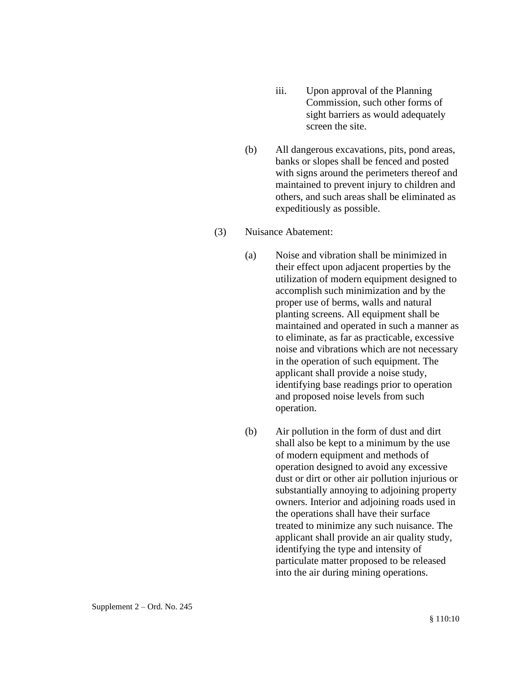- iii. Upon approval of the Planning Commission, such other forms of sight barriers as would adequately screen the site.
- (b) All dangerous excavations, pits, pond areas, banks or slopes shall be fenced and posted with signs around the perimeters thereof and maintained to prevent injury to children and others, and such areas shall be eliminated as expeditiously as possible.

#### (3) Nuisance Abatement:

- (a) Noise and vibration shall be minimized in their effect upon adjacent properties by the utilization of modern equipment designed to accomplish such minimization and by the proper use of berms, walls and natural planting screens. All equipment shall be maintained and operated in such a manner as to eliminate, as far as practicable, excessive noise and vibrations which are not necessary in the operation of such equipment. The applicant shall provide a noise study, identifying base readings prior to operation and proposed noise levels from such operation.
- (b) Air pollution in the form of dust and dirt shall also be kept to a minimum by the use of modern equipment and methods of operation designed to avoid any excessive dust or dirt or other air pollution injurious or substantially annoying to adjoining property owners. Interior and adjoining roads used in the operations shall have their surface treated to minimize any such nuisance. The applicant shall provide an air quality study, identifying the type and intensity of particulate matter proposed to be released into the air during mining operations.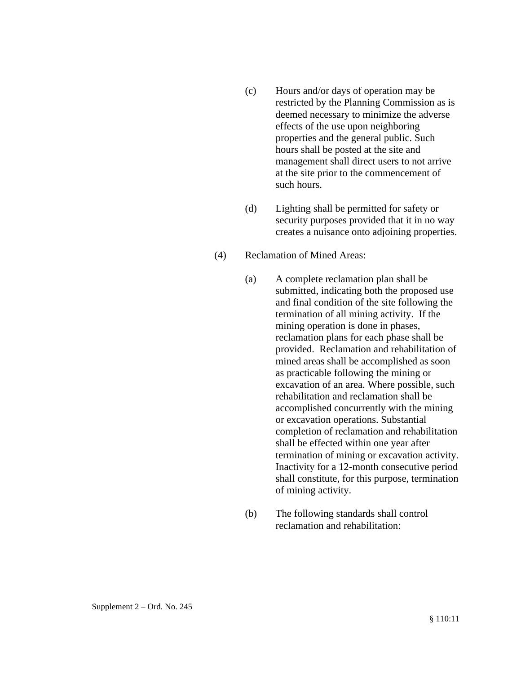- (c) Hours and/or days of operation may be restricted by the Planning Commission as is deemed necessary to minimize the adverse effects of the use upon neighboring properties and the general public. Such hours shall be posted at the site and management shall direct users to not arrive at the site prior to the commencement of such hours.
- (d) Lighting shall be permitted for safety or security purposes provided that it in no way creates a nuisance onto adjoining properties.
- (4) Reclamation of Mined Areas:
	- (a) A complete reclamation plan shall be submitted, indicating both the proposed use and final condition of the site following the termination of all mining activity. If the mining operation is done in phases, reclamation plans for each phase shall be provided. Reclamation and rehabilitation of mined areas shall be accomplished as soon as practicable following the mining or excavation of an area. Where possible, such rehabilitation and reclamation shall be accomplished concurrently with the mining or excavation operations. Substantial completion of reclamation and rehabilitation shall be effected within one year after termination of mining or excavation activity. Inactivity for a 12-month consecutive period shall constitute, for this purpose, termination of mining activity.
	- (b) The following standards shall control reclamation and rehabilitation: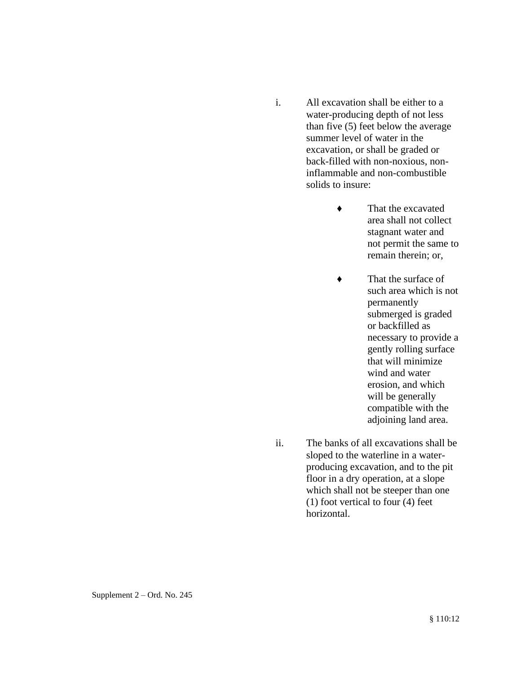- i. All excavation shall be either to a water-producing depth of not less than five (5) feet below the average summer level of water in the excavation, or shall be graded or back-filled with non-noxious, noninflammable and non-combustible solids to insure:
	- ♦ That the excavated area shall not collect stagnant water and not permit the same to remain therein; or,
	- ♦ That the surface of such area which is not permanently submerged is graded or backfilled as necessary to provide a gently rolling surface that will minimize wind and water erosion, and which will be generally compatible with the adjoining land area.
- ii. The banks of all excavations shall be sloped to the waterline in a waterproducing excavation, and to the pit floor in a dry operation, at a slope which shall not be steeper than one (1) foot vertical to four (4) feet horizontal.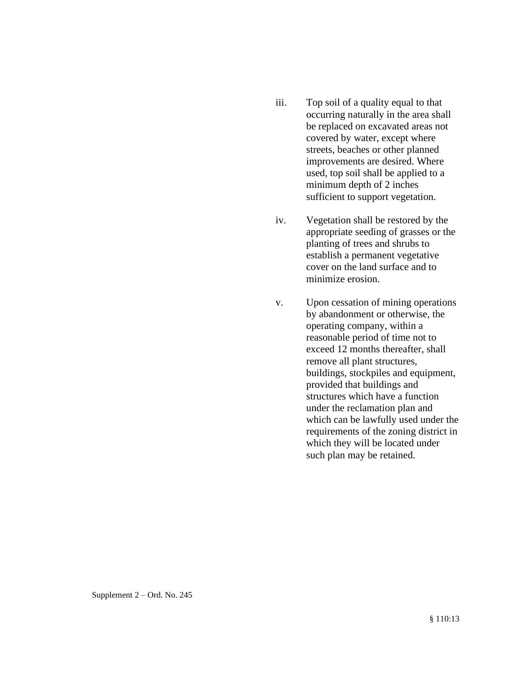- iii. Top soil of a quality equal to that occurring naturally in the area shall be replaced on excavated areas not covered by water, except where streets, beaches or other planned improvements are desired. Where used, top soil shall be applied to a minimum depth of 2 inches sufficient to support vegetation.
- iv. Vegetation shall be restored by the appropriate seeding of grasses or the planting of trees and shrubs to establish a permanent vegetative cover on the land surface and to minimize erosion.
- v. Upon cessation of mining operations by abandonment or otherwise, the operating company, within a reasonable period of time not to exceed 12 months thereafter, shall remove all plant structures, buildings, stockpiles and equipment, provided that buildings and structures which have a function under the reclamation plan and which can be lawfully used under the requirements of the zoning district in which they will be located under such plan may be retained.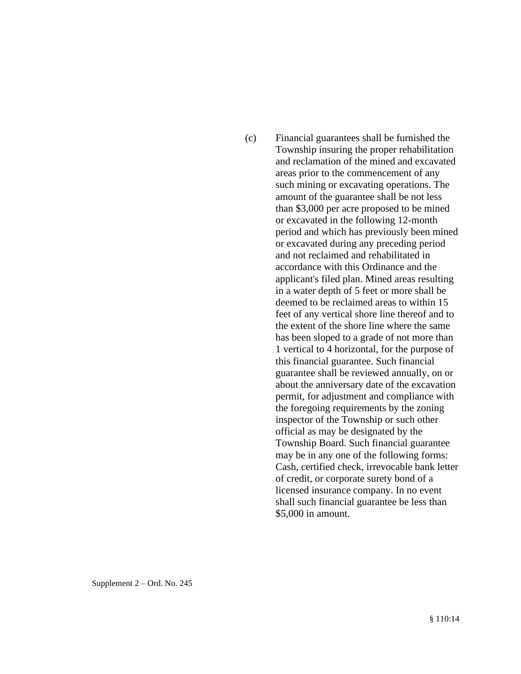(c) Financial guarantees shall be furnished the Township insuring the proper rehabilitation and reclamation of the mined and excavated areas prior to the commencement of any such mining or excavating operations. The amount of the guarantee shall be not less than \$3,000 per acre proposed to be mined or excavated in the following 12-month period and which has previously been mined or excavated during any preceding period and not reclaimed and rehabilitated in accordance with this Ordinance and the applicant's filed plan. Mined areas resulting in a water depth of 5 feet or more shall be deemed to be reclaimed areas to within 15 feet of any vertical shore line thereof and to the extent of the shore line where the same has been sloped to a grade of not more than 1 vertical to 4 horizontal, for the purpose of this financial guarantee. Such financial guarantee shall be reviewed annually, on or about the anniversary date of the excavation permit, for adjustment and compliance with the foregoing requirements by the zoning inspector of the Township or such other official as may be designated by the Township Board. Such financial guarantee may be in any one of the following forms: Cash, certified check, irrevocable bank letter of credit, or corporate surety bond of a licensed insurance company. In no event shall such financial guarantee be less than \$5,000 in amount.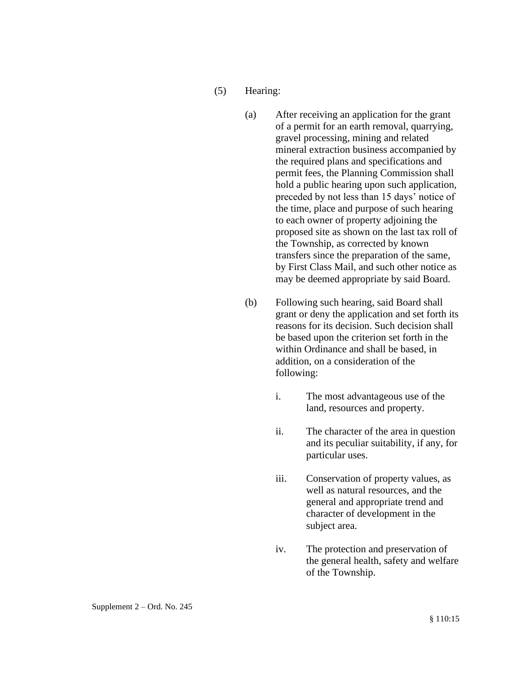- (5) Hearing:
	- (a) After receiving an application for the grant of a permit for an earth removal, quarrying, gravel processing, mining and related mineral extraction business accompanied by the required plans and specifications and permit fees, the Planning Commission shall hold a public hearing upon such application, preceded by not less than 15 days' notice of the time, place and purpose of such hearing to each owner of property adjoining the proposed site as shown on the last tax roll of the Township, as corrected by known transfers since the preparation of the same, by First Class Mail, and such other notice as may be deemed appropriate by said Board.
	- (b) Following such hearing, said Board shall grant or deny the application and set forth its reasons for its decision. Such decision shall be based upon the criterion set forth in the within Ordinance and shall be based, in addition, on a consideration of the following:
		- i. The most advantageous use of the land, resources and property.
		- ii. The character of the area in question and its peculiar suitability, if any, for particular uses.
		- iii. Conservation of property values, as well as natural resources, and the general and appropriate trend and character of development in the subject area.
		- iv. The protection and preservation of the general health, safety and welfare of the Township.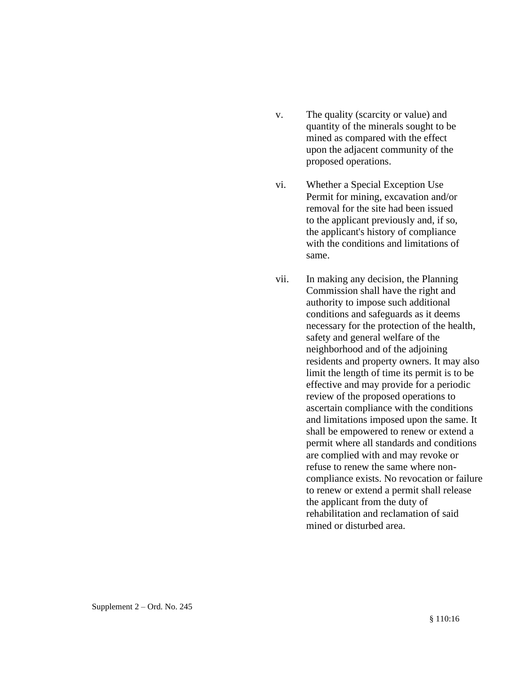- v. The quality (scarcity or value) and quantity of the minerals sought to be mined as compared with the effect upon the adjacent community of the proposed operations.
- vi. Whether a Special Exception Use Permit for mining, excavation and/or removal for the site had been issued to the applicant previously and, if so, the applicant's history of compliance with the conditions and limitations of same.
- vii. In making any decision, the Planning Commission shall have the right and authority to impose such additional conditions and safeguards as it deems necessary for the protection of the health, safety and general welfare of the neighborhood and of the adjoining residents and property owners. It may also limit the length of time its permit is to be effective and may provide for a periodic review of the proposed operations to ascertain compliance with the conditions and limitations imposed upon the same. It shall be empowered to renew or extend a permit where all standards and conditions are complied with and may revoke or refuse to renew the same where noncompliance exists. No revocation or failure to renew or extend a permit shall release the applicant from the duty of rehabilitation and reclamation of said mined or disturbed area.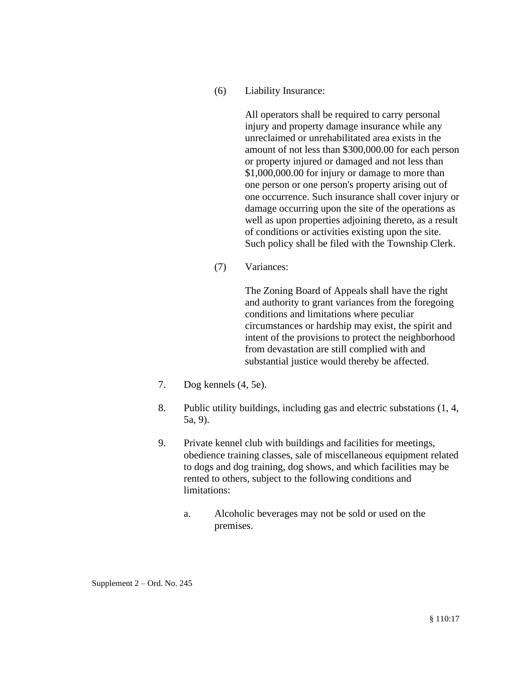(6) Liability Insurance:

All operators shall be required to carry personal injury and property damage insurance while any unreclaimed or unrehabilitated area exists in the amount of not less than \$300,000.00 for each person or property injured or damaged and not less than \$1,000,000.00 for injury or damage to more than one person or one person's property arising out of one occurrence. Such insurance shall cover injury or damage occurring upon the site of the operations as well as upon properties adjoining thereto, as a result of conditions or activities existing upon the site. Such policy shall be filed with the Township Clerk.

(7) Variances:

The Zoning Board of Appeals shall have the right and authority to grant variances from the foregoing conditions and limitations where peculiar circumstances or hardship may exist, the spirit and intent of the provisions to protect the neighborhood from devastation are still complied with and substantial justice would thereby be affected.

- 7. Dog kennels (4, 5e).
- 8. Public utility buildings, including gas and electric substations (1, 4, 5a, 9).
- 9. Private kennel club with buildings and facilities for meetings, obedience training classes, sale of miscellaneous equipment related to dogs and dog training, dog shows, and which facilities may be rented to others, subject to the following conditions and limitations:
	- a. Alcoholic beverages may not be sold or used on the premises.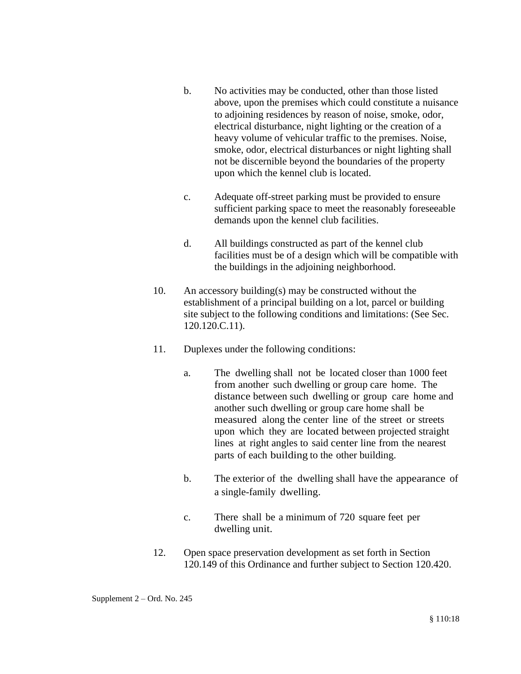- b. No activities may be conducted, other than those listed above, upon the premises which could constitute a nuisance to adjoining residences by reason of noise, smoke, odor, electrical disturbance, night lighting or the creation of a heavy volume of vehicular traffic to the premises. Noise, smoke, odor, electrical disturbances or night lighting shall not be discernible beyond the boundaries of the property upon which the kennel club is located.
- c. Adequate off-street parking must be provided to ensure sufficient parking space to meet the reasonably foreseeable demands upon the kennel club facilities.
- d. All buildings constructed as part of the kennel club facilities must be of a design which will be compatible with the buildings in the adjoining neighborhood.
- 10. An accessory building(s) may be constructed without the establishment of a principal building on a lot, parcel or building site subject to the following conditions and limitations: (See Sec. 120.120.C.11).
- 11. Duplexes under the following conditions:
	- a. The dwelling shall not be located closer than 1000 feet from another such dwelling or group care home. The distance between such dwelling or group care home and another such dwelling or group care home shall be measured along the center line of the street or streets upon which they are located between projected straight lines at right angles to said center line from the nearest parts of each building to the other building.
	- b. The exterior of the dwelling shall have the appearance of a single-family dwelling.
	- c. There shall be a minimum of 720 square feet per dwelling unit.
- 12. Open space preservation development as set forth in Section 120.149 of this Ordinance and further subject to Section 120.420.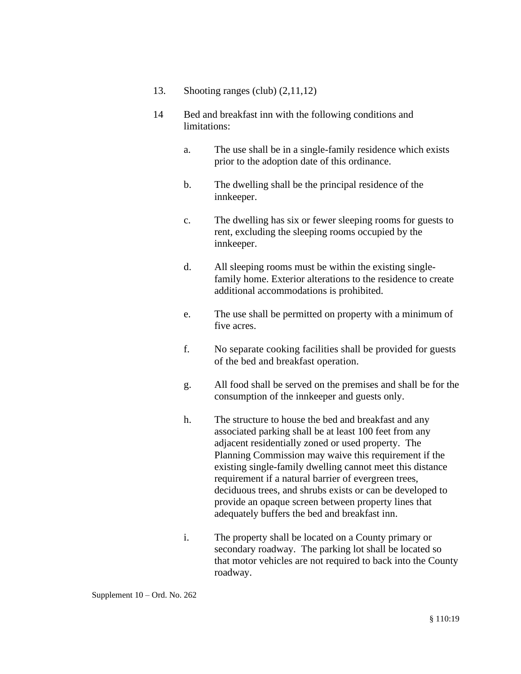- 13. Shooting ranges (club) (2,11,12)
- 14 Bed and breakfast inn with the following conditions and limitations:
	- a. The use shall be in a single-family residence which exists prior to the adoption date of this ordinance.
	- b. The dwelling shall be the principal residence of the innkeeper.
	- c. The dwelling has six or fewer sleeping rooms for guests to rent, excluding the sleeping rooms occupied by the innkeeper.
	- d. All sleeping rooms must be within the existing singlefamily home. Exterior alterations to the residence to create additional accommodations is prohibited.
	- e. The use shall be permitted on property with a minimum of five acres.
	- f. No separate cooking facilities shall be provided for guests of the bed and breakfast operation.
	- g. All food shall be served on the premises and shall be for the consumption of the innkeeper and guests only.
	- h. The structure to house the bed and breakfast and any associated parking shall be at least 100 feet from any adjacent residentially zoned or used property. The Planning Commission may waive this requirement if the existing single-family dwelling cannot meet this distance requirement if a natural barrier of evergreen trees, deciduous trees, and shrubs exists or can be developed to provide an opaque screen between property lines that adequately buffers the bed and breakfast inn.
	- i. The property shall be located on a County primary or secondary roadway. The parking lot shall be located so that motor vehicles are not required to back into the County roadway.

Supplement 10 – Ord. No. 262